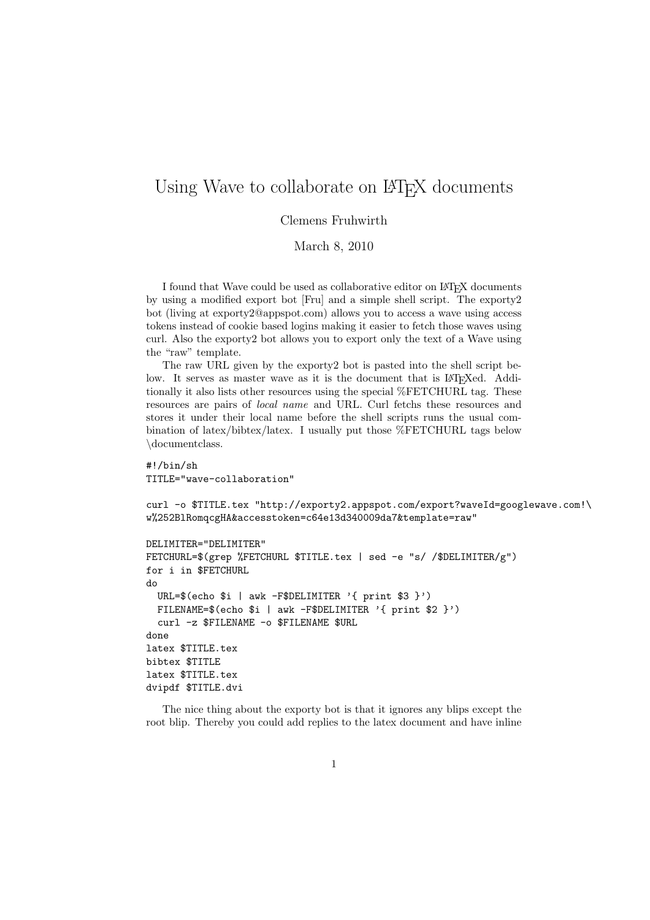## Using Wave to collaborate on LAT<sub>EX</sub> documents

Clemens Fruhwirth

March 8, 2010

I found that Wave could be used as collaborative editor on LAT<sub>EX</sub> documents by using a modified export bot [Fru] and a simple shell script. The exporty2 bot (living at exporty2@appspot.com) allows you to access a wave using access tokens instead of cookie based logins making it easier to fetch those waves using curl. Also the exporty2 bot allows you to export only the text of a Wave using the "raw" template.

The raw URL given by the exporty2 bot is pasted into the shell script below. It serves as master wave as it is the document that is LAT<sub>EX</sub>ed. Additionally it also lists other resources using the special %FETCHURL tag. These resources are pairs of local name and URL. Curl fetchs these resources and stores it under their local name before the shell scripts runs the usual combination of latex/bibtex/latex. I usually put those %FETCHURL tags below \documentclass.

#!/bin/sh TITLE="wave-collaboration"

curl -o \$TITLE.tex "http://exporty2.appspot.com/export?waveId=googlewave.com!\ w%252BlRomqcgHA&accesstoken=c64e13d340009da7&template=raw"

```
DELIMITER="DELIMITER"
FETCHURL=$(grep %FETCHURL $TITLE.tex | sed -e "s/ /$DELIMITER/g")
for i in $FETCHURL
do
 URL=$(echo $i | awk -F$DELIMITER '{ print $3 }')
 FILENAME=$(echo $i | awk -F$DELIMITER '{ print $2 }')
  curl -z $FILENAME -o $FILENAME $URL
done
latex $TITLE.tex
bibtex $TITLE
latex $TITLE.tex
dvipdf $TITLE.dvi
```
The nice thing about the exporty bot is that it ignores any blips except the root blip. Thereby you could add replies to the latex document and have inline